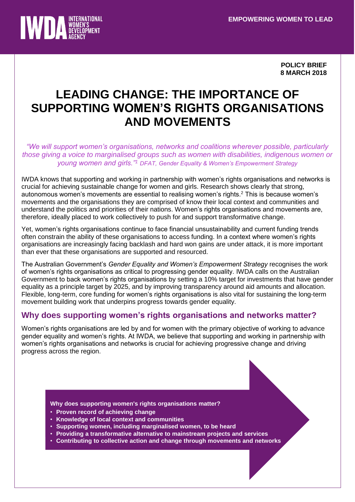

**POLICY BRIEF 8 MARCH 2018**

# **LEADING CHANGE: THE IMPORTANCE OF SUPPORTING WOMEN'S RIGHTS ORGANISATIONS AND MOVEMENTS**

*"We will support women's organisations, networks and coalitions wherever possible, particularly those giving a voice to marginalised groups such as women with disabilities, indigenous women or young women and girls."<sup>1</sup> DFAT, Gender Equality & Women's Empowerment Strategy*

IWDA knows that supporting and working in partnership with women's rights organisations and networks is crucial for achieving sustainable change for women and girls. Research shows clearly that strong, autonomous women's movements are essential to realising women's rights.<sup>2</sup> This is because women's movements and the organisations they are comprised of know their local context and communities and understand the politics and priorities of their nations. Women's rights organisations and movements are, therefore, ideally placed to work collectively to push for and support transformative change.

Yet, women's rights organisations continue to face financial unsustainability and current funding trends often constrain the ability of these organisations to access funding. In a context where women's rights organisations are increasingly facing backlash and hard won gains are under attack, it is more important than ever that these organisations are supported and resourced.

The Australian Government's *Gender Equality and Women's Empowerment Strategy* recognises the work of women's rights organisations as critical to progressing gender equality. IWDA calls on the Australian Government to back women's rights organisations by setting a 10% target for investments that have gender equality as a principle target by 2025, and by improving transparency around aid amounts and allocation. Flexible, long-term, core funding for women's rights organisations is also vital for sustaining the long-term movement building work that underpins progress towards gender equality.

# **Why does supporting women's rights organisations and networks matter?**

Women's rights organisations are led by and for women with the primary objective of working to advance gender equality and women's rights. At IWDA, we believe that supporting and working in partnership with women's rights organisations and networks is crucial for achieving progressive change and driving progress across the region.

**Why does supporting women's rights organisations matter?**

- **Proven record of achieving change**
- **Knowledge of local context and communities**
- **Supporting women, including marginalised women, to be heard**
- **Providing a transformative alternative to mainstream projects and services**
- **Contributing to collective action and change through movements and networks**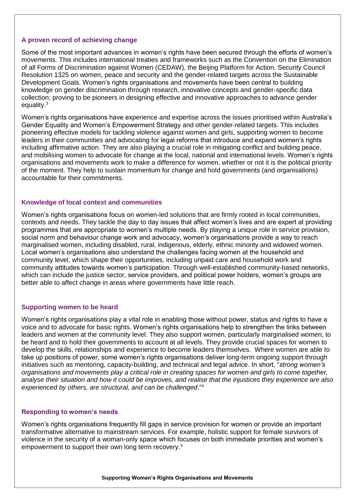## **A proven record of achieving change**

Some of the most important advances in women's rights have been secured through the efforts of women's movements. This includes international treaties and frameworks such as the Convention on the Elimination of all Forms of Discrimination against Women (CEDAW), the Beijing Platform for Action, Security Council Resolution 1325 on women, peace and security and the gender-related targets across the Sustainable Development Goals. Women's rights organisations and movements have been central to building knowledge on gender discrimination through research, innovative concepts and gender-specific data collection; proving to be pioneers in designing effective and innovative approaches to advance gender equality.<sup>3</sup>

Women's rights organisations have experience and expertise across the issues prioritised within Australia's Gender Equality and Women's Empowerment Strategy and other gender-related targets. This includes pioneering effective models for tackling violence against women and girls, supporting women to become leaders in their communities and advocating for legal reforms that introduce and expand women's rights including affirmative action. They are also playing a crucial role in mitigating conflict and building peace, and mobilising women to advocate for change at the local, national and international levels. Women's rights organisations and movements work to make a difference for women, whether or not it is the political priority of the moment. They help to sustain momentum for change and hold governments (and organisations) accountable for their commitments.

## **Knowledge of local context and communities**

Women's rights organisations focus on women-led solutions that are firmly rooted in local communities, contexts and needs. They tackle the day to day issues that affect women's lives and are expert at providing programmes that are appropriate to women's multiple needs. By playing a unique role in service provision, social norm and behaviour change work and advocacy, women's organisations provide a way to reach marginalised women, including disabled, rural, indigenous, elderly, ethnic minority and widowed women. Local women's organisations also understand the challenges facing women at the household and community level, which shape their opportunities, including unpaid care and household work and community attitudes towards women's participation. Through well-established community-based networks, which can include the justice sector, service providers, and political power holders, women's groups are better able to affect change in areas where governments have little reach.

## **Supporting women to be heard**

Women's rights organisations play a vital role in enabling those without power, status and rights to have a voice and to advocate for basic rights. Women's rights organisations help to strengthen the links between leaders and women at the community level. They also support women, particularly marginalised women, to be heard and to hold their governments to account at all levels. They provide crucial spaces for women to develop the skills, relationships and experience to become leaders themselves. Where women are able to take up positions of power, some women's rights organisations deliver long-term ongoing support through initiatives such as mentoring, capacity-building, and technical and legal advice. In short, "*strong women's organisations and movements play a critical role in creating spaces for women and girls to come together, analyse their situation and how it could be improves, and realise that the injustices they experience are also experienced by others, are structural, and can be challenged*."<sup>4</sup>

#### **Responding to women's needs**

Women's rights organisations frequently fill gaps in service provision for women or provide an important transformative alternative to mainstream services. For example, holistic support for female survivors of violence in the security of a woman-only space which focuses on both immediate priorities and women's empowerment to support their own long term recovery.5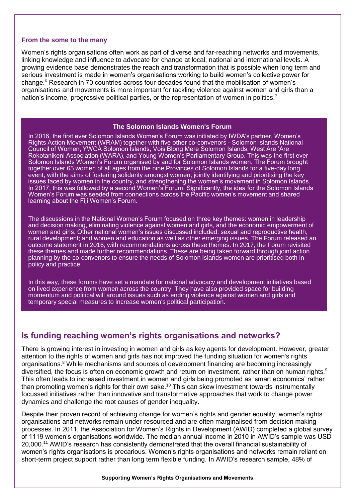#### **From the some to the many**

Women's rights organisations often work as part of diverse and far-reaching networks and movements, linking knowledge and influence to advocate for change at local, national and international levels. A growing evidence base demonstrates the reach and transformation that is possible when long term and serious investment is made in women's organisations working to build women's collective power for change.<sup>6</sup> Research in 70 countries across four decades found that the mobilisation of women's organisations and movements is more important for tackling violence against women and girls than a nation's income, progressive political parties, or the representation of women in politics.<sup>7</sup>

#### **The Solomon Islands Women's Forum**

In 2016, the first ever Solomon Islands Women's Forum was initiated by IWDA's partner, Women's Rights Action Movement (WRAM) together with five other co-convenors - Solomon Islands National Council of Women, YWCA Solomon Islands, Vois Blong Mere Solomon Islands, West Are 'Are Rokotanikeni Association (WARA), and Young Women's Parliamentary Group. This was the first ever Solomon Islands Women's Forum organised by and for Solomon Islands women. The Forum brought together over 65 women of all ages from the nine Provinces of Solomon Islands for a five-day long event, with the aims of fostering solidarity amongst women, jointly identifying and prioritising the key issues faced by women in the country, and strengthening the women's movement in Solomon Islands. In 2017, this was followed by a second Women's Forum. Significantly, the idea for the Solomon Islands Women's Forum was seeded from connections across the Pacific women's movement and shared learning about the Fiji Women's Forum.

The discussions in the National Women's Forum focused on three key themes: women in leadership and decision making, eliminating violence against women and girls, and the economic empowerment of women and girls. Other national women's issues discussed included: sexual and reproductive health, rural development; and women and education as well as other emerging issues. The Forum released an outcome statement in 2016, with recommendations across these themes. In 2017, the Forum revisited these themes and made further recommendations. These are being taken forward through joint action planning by the co-convenors to ensure the needs of Solomon Islands women are prioritised both in policy and practice.

In this way, these forums have set a mandate for national advocacy and development initiatives based on lived experience from women across the country. They have also provided space for building momentum and political will around issues such as ending violence against women and girls and temporary special measures to increase women's political participation.

# **Is funding reaching women's rights organisations and networks?**

There is growing interest in investing in women and girls as key agents for development. However, greater attention to the rights of women and girls has not improved the funding situation for women's rights organisations.<sup>8</sup> While mechanisms and sources of development financing are becoming increasingly diversified, the focus is often on economic growth and return on investment, rather than on human rights.<sup>9</sup> This often leads to increased investment in women and girls being promoted as 'smart economics' rather than promoting women's rights for their own sake.<sup>10</sup> This can skew investment towards instrumentally focussed initiatives rather than innovative and transformative approaches that work to change power dynamics and challenge the root causes of gender inequality.

Despite their proven record of achieving change for women's rights and gender equality, women's rights organisations and networks remain under-resourced and are often marginalised from decision making processes. In 2011, the Association for Women's Rights in Development (AWID) completed a global survey of 1119 women's organisations worldwide. The median annual income in 2010 in AWID's sample was USD 20,000.<sup>11</sup> AWID's research has consistently demonstrated that the overall financial sustainability of women's rights organisations is precarious. Women's rights organisations and networks remain reliant on short-term project support rather than long term flexible funding. In AWID's research sample, 48% of

#### **Supporting Women's Rights Organisations and Movements**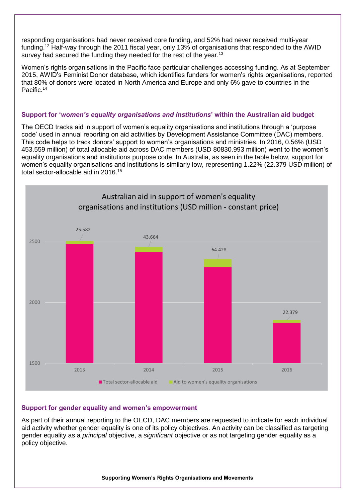responding organisations had never received core funding, and 52% had never received multi-year funding.<sup>12</sup> Half-way through the 2011 fiscal year, only 13% of organisations that responded to the AWID survey had secured the funding they needed for the rest of the year.<sup>13</sup>

Women's rights organisations in the Pacific face particular challenges accessing funding. As at September 2015, AWID's Feminist Donor database, which identifies funders for women's rights organisations, reported that 80% of donors were located in North America and Europe and only 6% gave to countries in the Pacific.<sup>14</sup>

## **Support for '***women's equality organisations and institutions***' within the Australian aid budget**

The OECD tracks aid in support of women's equality organisations and institutions through a 'purpose code' used in annual reporting on aid activities by Development Assistance Committee (DAC) members. This code helps to track donors' support to women's organisations and ministries. In 2016, 0.56% (USD 453.559 million) of total allocable aid across DAC members (USD 80830.993 million) went to the women's equality organisations and institutions purpose code. In Australia, as seen in the table below, support for women's equality organisations and institutions is similarly low, representing 1.22% (22.379 USD million) of total sector-allocable aid in 2016.<sup>15</sup>



#### **Support for gender equality and women's empowerment**

As part of their annual reporting to the OECD, DAC members are requested to indicate for each individual aid activity whether gender equality is one of its policy objectives. An activity can be classified as targeting gender equality as a *principal* objective, a *significant* objective or as not targeting gender equality as a policy objective.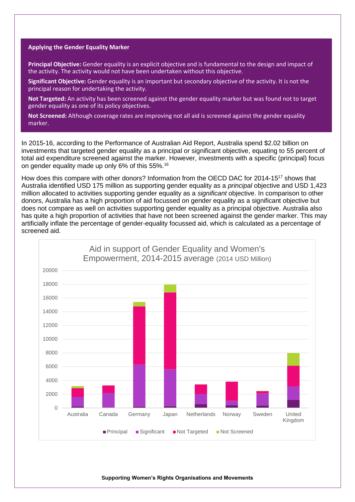#### **Applying the Gender Equality Marker**

**Principal Objective:** Gender equality is an explicit objective and is fundamental to the design and impact of the activity. The activity would not have been undertaken without this objective.

**Significant Objective:** Gender equality is an important but secondary objective of the activity. It is not the principal reason for undertaking the activity.

**Not Targeted:** An activity has been screened against the gender equality marker but was found not to target gender equality as one of its policy objectives.

**Not Screened:** Although coverage rates are improving not all aid is screened against the gender equality marker.

In 2015-16, according to the Performance of Australian Aid Report, Australia spend \$2.02 billion on investments that targeted gender equality as a principal or significant objective, equating to 55 percent of total aid expenditure screened against the marker. However, investments with a specific (principal) focus on gender equality made up only 6% of this 55%.<sup>16</sup>

How does this compare with other donors? Information from the OECD DAC for 2014-15<sup>17</sup> shows that Australia identified USD 175 million as supporting gender equality as a *principal* objective and USD 1,423 million allocated to activities supporting gender equality as a *significant* objective. In comparison to other donors, Australia has a high proportion of aid focussed on gender equality as a significant objective but does not compare as well on activities supporting gender equality as a principal objective. Australia also has quite a high proportion of activities that have not been screened against the gender marker. This may artificially inflate the percentage of gender-equality focussed aid, which is calculated as a percentage of screened aid.



#### **Supporting Women's Rights Organisations and Movements**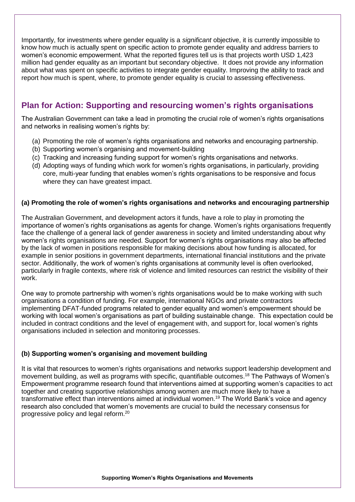Importantly, for investments where gender equality is a *significant* objective, it is currently impossible to know how much is actually spent on specific action to promote gender equality and address barriers to women's economic empowerment. What the reported figures tell us is that projects worth USD 1,423 million had gender equality as an important but secondary objective. It does not provide any information about what was spent on specific activities to integrate gender equality. Improving the ability to track and report how much is spent, where, to promote gender equality is crucial to assessing effectiveness.

# **Plan for Action: Supporting and resourcing women's rights organisations**

The Australian Government can take a lead in promoting the crucial role of women's rights organisations and networks in realising women's rights by:

- (a) Promoting the role of women's rights organisations and networks and encouraging partnership.
- (b) Supporting women's organising and movement-building
- (c) Tracking and increasing funding support for women's rights organisations and networks.
- (d) Adopting ways of funding which work for women's rights organisations, in particularly, providing core, multi-year funding that enables women's rights organisations to be responsive and focus where they can have greatest impact.

# **(a) Promoting the role of women's rights organisations and networks and encouraging partnership**

The Australian Government, and development actors it funds, have a role to play in promoting the importance of women's rights organisations as agents for change. Women's rights organisations frequently face the challenge of a general lack of gender awareness in society and limited understanding about why women's rights organisations are needed. Support for women's rights organisations may also be affected by the lack of women in positions responsible for making decisions about how funding is allocated, for example in senior positions in government departments, international financial institutions and the private sector. Additionally, the work of women's rights organisations at community level is often overlooked, particularly in fragile contexts, where risk of violence and limited resources can restrict the visibility of their work.

One way to promote partnership with women's rights organisations would be to make working with such organisations a condition of funding. For example, international NGOs and private contractors implementing DFAT-funded programs related to gender equality and women's empowerment should be working with local women's organisations as part of building sustainable change. This expectation could be included in contract conditions and the level of engagement with, and support for, local women's rights organisations included in selection and monitoring processes.

# **(b) Supporting women's organising and movement building**

It is vital that resources to women's rights organisations and networks support leadership development and movement building, as well as programs with specific, quantifiable outcomes.<sup>18</sup> The Pathways of Women's Empowerment programme research found that interventions aimed at supporting women's capacities to act together and creating supportive relationships among women are much more likely to have a transformative effect than interventions aimed at individual women.<sup>19</sup> The World Bank's voice and agency research also concluded that women's movements are crucial to build the necessary consensus for progressive policy and legal reform.20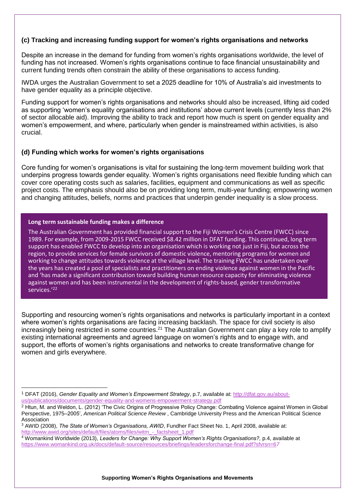## **(c) Tracking and increasing funding support for women's rights organisations and networks**

Despite an increase in the demand for funding from women's rights organisations worldwide, the level of funding has not increased. Women's rights organisations continue to face financial unsustainability and current funding trends often constrain the ability of these organisations to access funding.

IWDA urges the Australian Government to set a 2025 deadline for 10% of Australia's aid investments to have gender equality as a principle objective.

Funding support for women's rights organisations and networks should also be increased, lifting aid coded as supporting 'women's equality organisations and institutions' above current levels (currently less than 2% of sector allocable aid). Improving the ability to track and report how much is spent on gender equality and women's empowerment, and where, particularly when gender is mainstreamed within activities, is also crucial.

#### **(d) Funding which works for women's rights organisations**

Core funding for women's organisations is vital for sustaining the long-term movement building work that underpins progress towards gender equality. Women's rights organisations need flexible funding which can cover core operating costs such as salaries, facilities, equipment and communications as well as specific project costs. The emphasis should also be on providing long term, multi-year funding; empowering women and changing attitudes, beliefs, norms and practices that underpin gender inequality is a slow process.

#### **Long term sustainable funding makes a difference**

-

The Australian Government has provided financial support to the Fiji Women's Crisis Centre (FWCC) since 1989. For example, from 2009-2015 FWCC received \$8.42 million in DFAT funding. This continued, long term support has enabled FWCC to develop into an organisation which is working not just in Fiji, but across the region, to provide services for female survivors of domestic violence, mentoring programs for women and working to change attitudes towards violence at the village level. The training FWCC has undertaken over the years has created a pool of specialists and practitioners on ending violence against women in the Pacific and 'has made a significant contribution toward building human resource capacity for eliminating violence against women and has been instrumental in the development of rights-based, gender transformative services.'22

Supporting and resourcing women's rights organisations and networks is particularly important in a context where women's rights organisations are facing increasing backlash. The space for civil society is also increasingly being restricted in some countries.<sup>21</sup> The Australian Government can play a key role to amplify existing international agreements and agreed language on women's rights and to engage with, and support, the efforts of women's rights organisations and networks to create transformative change for women and girls everywhere.

<sup>1</sup> DFAT (2016), *Gender Equality and Women's Empowerment Strategy*, p.7, available at: [http://dfat.gov.au/about](http://dfat.gov.au/about-us/publications/documents/gender-equality-and-womens-empowerment-strategy.pdf)[us/publications/documents/gender-equality-and-womens-empowerment-strategy.pdf](http://dfat.gov.au/about-us/publications/documents/gender-equality-and-womens-empowerment-strategy.pdf)

<sup>2</sup> Htun, M. and Weldon, L. (2012) 'The Civic Origins of Progressive Policy Change: Combating Violence against Women in Global Perspective, 1975–2005', *American Political Science Review* , Cambridge University Press and the American Political Science Association

<sup>3</sup> AWID (2008), *The State of Women's Organisations, AWID*, Fundher Fact Sheet No. 1, April 2008, available at: http://www.awid.org/sites/default/files/atoms/files/witm - factsheet\_1.pdf

<sup>&</sup>lt;sup>4</sup> Womankind Worldwide (2013), *Leaders for Change: Why Support Women's Rights Organisations?, p.4, available at* <https://www.womankind.org.uk/docs/default-source/resources/briefings/leadersforchange-final.pdf?sfvrsn=6>*7*